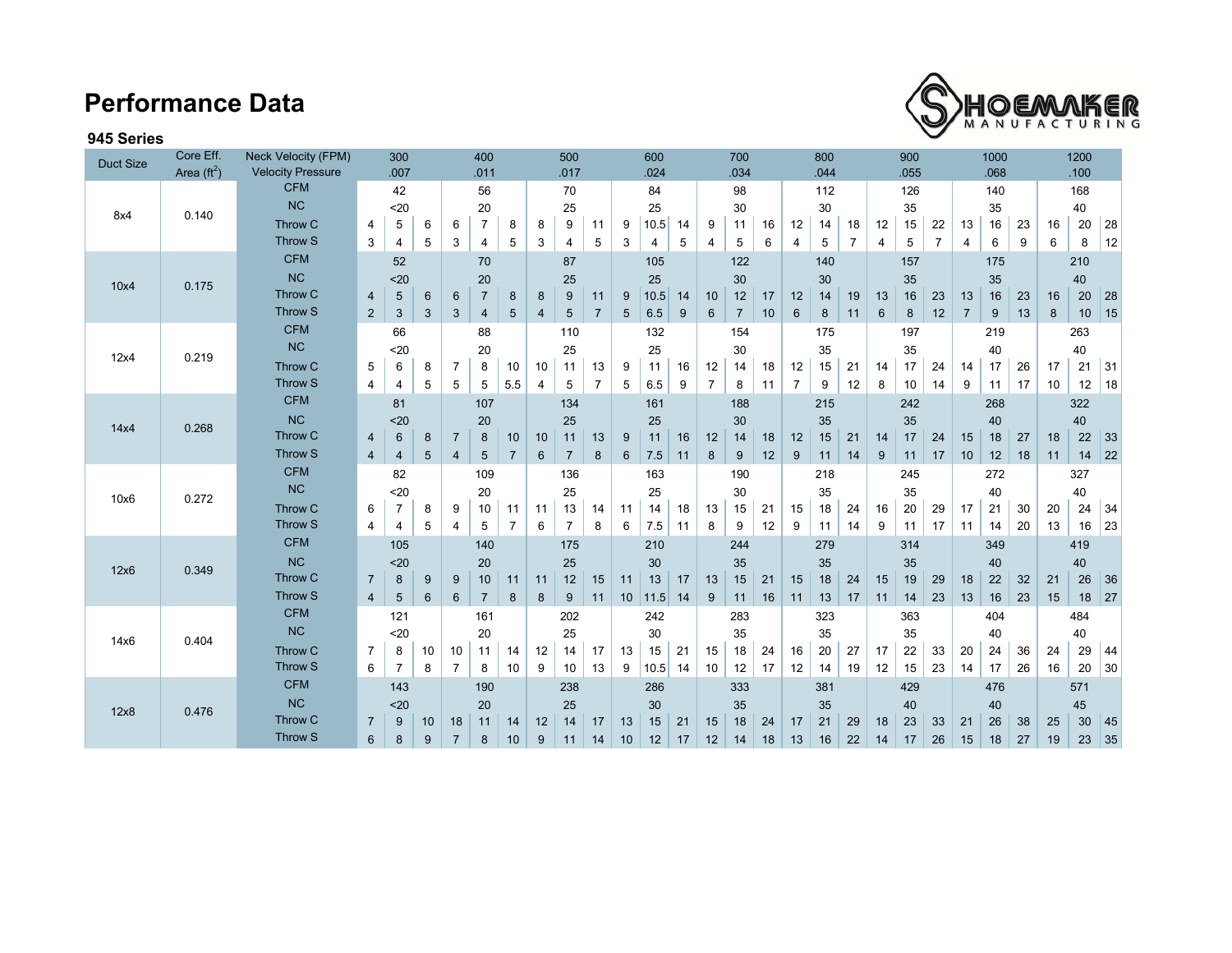## **Performance Data**



### **945 Series**

| <b>Duct Size</b> | Core Eff.<br>Area $(\text{ft}^2)$ | Neck Velocity (FPM)<br><b>Velocity Pressure</b> |                | 300<br>.007              |    | 400<br>.011              |                |                 | 500<br>.017    |                 |                | 600<br>.024    |                |    | 700<br>.034    |                |    | 800<br>.044    |                |                | 900<br>.055    |     |                |                | 1000<br>.068 |    | 1200<br>.100 |     |    |
|------------------|-----------------------------------|-------------------------------------------------|----------------|--------------------------|----|--------------------------|----------------|-----------------|----------------|-----------------|----------------|----------------|----------------|----|----------------|----------------|----|----------------|----------------|----------------|----------------|-----|----------------|----------------|--------------|----|--------------|-----|----|
|                  |                                   | <b>CFM</b>                                      |                | 42                       |    |                          | 56             |                 |                | 70              |                |                | 84             |    |                | 98             |    |                | 112            |                |                | 126 |                |                | 140          |    |              | 168 |    |
|                  | 0.140                             | NC                                              | $20$           |                          | 20 |                          |                | 25              |                |                 | 25             |                |                | 30 |                |                | 30 |                |                | 35             |                |     | 35             |                |              | 40 |              |     |    |
| 8x4              |                                   | Throw C                                         | 4              | 5                        | 6  | 6                        | $\overline{7}$ | 8               | 8              | 9               | 11             | 9              | 10.5           | 14 | 9              | 11             | 16 | 12             | 14             | 18             | 12             | 15  | 22             | 13             | 16           | 23 | 16           | 20  | 28 |
|                  |                                   | <b>Throw S</b>                                  | 3              | 4                        | 5  | 3                        | 4              | 5               | 3              | 4               | 5              | 3              | 4              | 5  | $\overline{4}$ | 5              | 6  | $\overline{4}$ | 5              | $\overline{7}$ | $\overline{4}$ | 5   | $\overline{7}$ | 4              | 6            | 9  | 6            | 8   | 12 |
|                  |                                   | <b>CFM</b>                                      |                | 52                       |    |                          | 70             |                 |                | 87              |                |                | 105            |    |                | 122            |    |                | 140            |                |                | 157 |                |                | 175          |    |              | 210 |    |
| 10x4             | 0.175                             | NC                                              | $20$           |                          |    | 20                       |                |                 | 25             |                 |                | 25             |                |    |                |                |    | 30             |                |                |                |     |                | 35             |              |    | 40           |     |    |
|                  |                                   | Throw C                                         |                | 5<br>$\overline{4}$<br>6 |    | $\overline{7}$<br>6<br>8 |                | 11<br>8<br>9    |                | 10.5<br>9<br>14 |                | 10             | 30<br>12<br>17 |    | 12             | 14             | 19 | 13             | 35<br>16<br>23 |                | 13<br>16       |     | 23             | 20<br>16       |              | 28 |              |     |    |
|                  |                                   | Throw S                                         | $\overline{2}$ | 3                        | 3  | 3                        | 4              | $5\overline{)}$ | $\overline{4}$ | 5               | $\overline{7}$ | 5              | 6.5            | 9  | $6\phantom{1}$ | $\overline{7}$ | 10 | $6\phantom{1}$ | $\bf 8$        | 11             | $6\phantom{1}$ | 8   | 12             | $\overline{7}$ | 9            | 13 | 8            | 10  | 15 |
|                  |                                   | <b>CFM</b>                                      |                | 66                       |    |                          | 88             |                 |                | 110             |                |                | 132            |    |                | 154            |    |                | 175            |                |                | 197 |                |                | 219          |    |              | 263 |    |
|                  | 0.219                             | NC                                              | $20$           |                          |    | 20                       |                |                 | 25             |                 |                | 25             |                |    | 30             |                |    | 35             |                |                | 35             |     |                | 40             |              |    | 40           |     |    |
| 12x4             |                                   | Throw C                                         | 5              | 6                        | 8  | $\overline{7}$           | 8              | 10              | 10             | 11              | 13             | 9              | 11             | 16 | 12             | 14             | 18 | 12             | 15             | 21             | 14             | 17  | 24             | 14             | 17           | 26 | 17           | 21  | 31 |
|                  |                                   | Throw S                                         | 4              | 4                        | 5  | 5                        | 5              | 5.5             | 4              | 5               | $\overline{7}$ | 5              | 6.5            | 9  | $\overline{7}$ | 8              | 11 | $\overline{7}$ | 9              | 12             | 8              | 10  | 14             | 9              | 11           | 17 | 10           | 12  | 18 |
|                  |                                   | <b>CFM</b>                                      |                | 81                       |    |                          | 107            |                 |                | 134             |                |                | 161            |    |                | 188            |    |                | 215            |                |                | 242 |                |                | 268          |    |              | 322 |    |
|                  | 0.268                             | <b>NC</b>                                       |                | $20$                     |    | 20                       |                |                 | 25             |                 |                | 25             |                |    | 30             |                |    | 35             |                |                | 35             |     |                | 40             |              |    | 40           |     |    |
| 14x4             |                                   | Throw C                                         | $\overline{4}$ | 6                        | 8  | $\overline{7}$           | 8              | 10              | 10             | 11              | 13             | 9              | 11             | 16 | 12             | 14             | 18 | 12             | 15             | 21             | 14             | 17  | 24             | 15             | 18           | 27 | 18           | 22  | 33 |
|                  |                                   | Throw S                                         | $\overline{4}$ | $\overline{4}$           | 5  | $\overline{4}$           | 5              | $\overline{7}$  | 6              | $\overline{7}$  | 8              | $6\phantom{1}$ | 7.5            | 11 | 8              | 9              | 12 | 9              | 11             | 14             | 9              | 11  | 17             | 10             | 12           | 18 | 11           | 14  | 22 |
|                  |                                   | <b>CFM</b>                                      |                | 82                       |    |                          | 109            |                 |                | 136             |                |                | 163            |    |                | 190            |    |                | 218            |                |                | 245 |                |                | 272          |    |              | 327 |    |
|                  | 0.272                             | NC                                              | $20$           |                          | 20 |                          |                | 25              |                |                 |                | 25             |                |    | 30             |                |    | 35             |                |                | 35             |     |                | 40             |              |    | 40           |     |    |
| 10x6             |                                   | Throw C                                         | 6              | 7                        | 8  | 9                        | 10             | 11              | 11             | 13              | 14             | 11             | 14             | 18 | 13             | 15             | 21 | 15             | 18             | 24             | 16             | 20  | 29             | 17             | 21           | 30 | 20           | 24  | 34 |
|                  |                                   | Throw S                                         | $\overline{4}$ | 4                        | 5  | 4                        | 5              | $\overline{7}$  | 6              | $\overline{7}$  | 8              | 6              | 7.5            | 11 | 8              | 9              | 12 | 9              | 11             | 14             | 9              | 11  | 17             | 11             | 14           | 20 | 13           | 16  | 23 |
|                  |                                   | <b>CFM</b>                                      |                | 105                      |    |                          | 140            |                 |                | 175             |                |                | 210            |    |                | 244            |    |                | 279            |                |                | 314 |                |                | 349          |    |              | 419 |    |
|                  | 0.349                             | NC                                              |                | $20$                     |    | 20                       |                |                 | 25             |                 |                | 30             |                |    | 35             |                |    | 35             |                |                | 35             |     |                | 40             |              |    | 40           |     |    |
| 12x6             |                                   | Throw C                                         | $\overline{7}$ | 8                        | 9  | 9                        | 10             | 11              | 11             | 12              | 15             | 11             | 13             | 17 | 13             | 15             | 21 | 15             | 18             | 24             | 15             | 19  | 29             | 18             | 22           | 32 | 21           | 26  | 36 |
|                  |                                   | Throw S                                         | $\overline{4}$ | 5                        | 6  | $6\phantom{1}6$          | $\overline{7}$ | 8               | 8              | 9               | 11             | 10             | 11.5           | 14 | 9              | 11             | 16 | 11             | 13             | 17             | 11             | 14  | 23             | 13             | 16           | 23 | 15           | 18  | 27 |
|                  |                                   | <b>CFM</b>                                      |                | 121                      |    |                          | 161            |                 | 202            |                 |                | 242            |                |    | 283            |                |    | 323            |                |                | 363            |     |                | 404            |              |    | 484          |     |    |
| 14x6             | 0.404                             | NC                                              |                | $20$                     |    |                          | 20             |                 |                | 25              |                |                | 30             |    |                | 35             |    |                | 35             |                |                | 35  |                |                | 40           |    |              | 40  |    |
|                  |                                   | Throw C                                         | $\overline{7}$ | 8                        | 10 | 10                       | 11             | 14              | 12             | 14              | 17             | 13             | 15             | 21 | 15             | 18             | 24 | 16             | 20             | 27             | 17             | 22  | 33             | 20             | 24           | 36 | 24           | 29  | 44 |
|                  |                                   | Throw S                                         | 6              | $\overline{7}$           | 8  | $\overline{7}$           | 8              | 10              | 9              | 10              | 13             | 9              | 10.5           | 14 | 10             | 12             | 17 | 12             | 14             | 19             | 12             | 15  | 23             | 14             | 17           | 26 | 16           | 20  | 30 |
|                  |                                   | <b>CFM</b>                                      |                | 143                      |    | 190                      |                |                 |                | 238             |                |                | 286            |    |                | 333            |    |                | 381            |                |                | 429 |                |                | 476          |    |              | 571 |    |
| 12x8             | 0.476                             | NC                                              |                | $20$                     |    |                          | 20             |                 |                | 25              |                | 30             |                |    | 35             |                |    | 35             |                |                | 40             |     |                | 40             |              |    | 45           |     |    |
|                  |                                   | Throw C                                         | $\overline{7}$ | 9                        | 10 | 18                       | 11             | 14              | 12             | 14              | 17             | 13             | 15             | 21 | 15             | 18             | 24 | 17             | 21             | 29             | 18             | 23  | 33             | 21             | 26           | 38 | 25           | 30  | 45 |
|                  |                                   | Throw S                                         | $6\phantom{1}$ | 8                        | 9  | $\overline{7}$           | 8              | 10              | 9              | 11              | 14             | 10             | 12             | 17 | 12             | 14             | 18 | 13             | 16             | 22             | 14             | 17  | 26             | 15             | 18           | 27 | 19           | 23  | 35 |